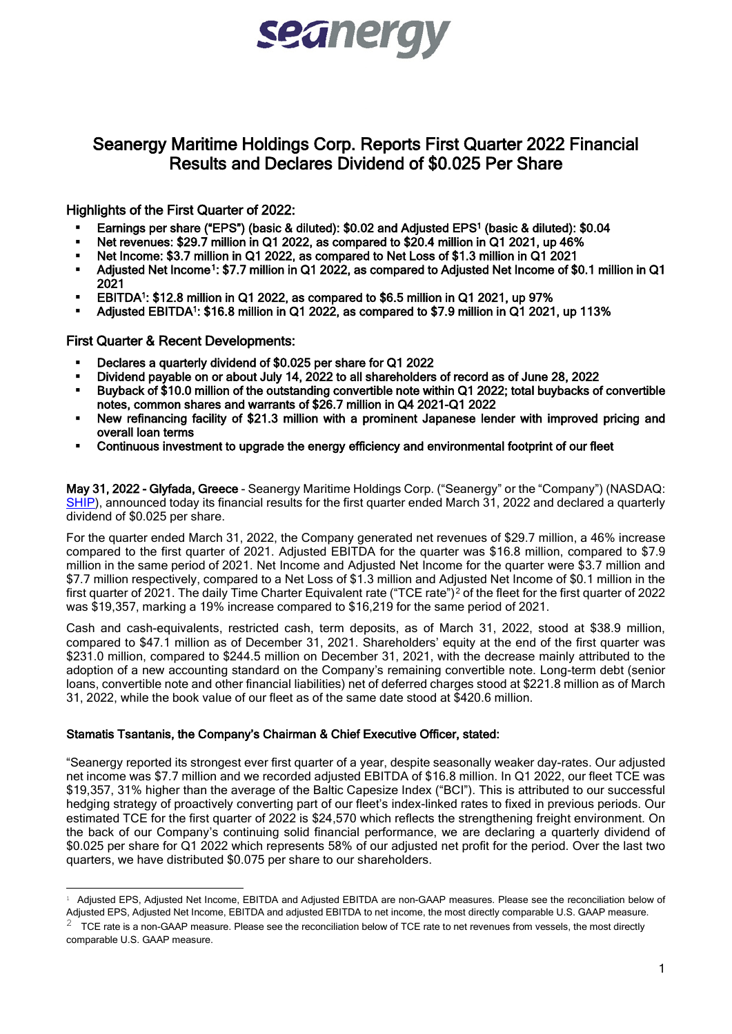# seanerg

# Seanergy Maritime Holdings Corp. Reports First Quarter 2022 Financial Results and Declares Dividend of \$0.025 Per Share

## Highlights of the First Quarter of 2022:

- Earnings per share ("EPS") (basic & diluted): \$0.02 and Adjusted EPS1 (basic & diluted): \$0.04
- Net revenues: \$29.7 million in Q1 2022, as compared to \$20.4 million in Q1 2021, up 46%
- Net Income: \$3.7 million in Q1 2022, as compared to Net Loss of \$1.3 million in Q1 2021<br>■ Adjusted Net Income1: \$7.7 million in Q1 2022, as compared to Adjusted Net Income of \$
- Adjusted Net Income<sup>1</sup>: \$7.7 million in Q1 2022, as compared to Adjusted Net Income of \$0.1 million in Q1 2021
- EBITDA1: \$12.8 million in Q1 2022, as compared to \$6.5 million in Q1 2021, up 97%
- Adjusted EBITDA1: \$16.8 million in Q1 2022, as compared to \$7.9 million in Q1 2021, up 113%

#### First Quarter & Recent Developments:

- Declares a quarterly dividend of \$0.025 per share for Q1 2022
- Dividend payable on or about July 14, 2022 to all shareholders of record as of June 28, 2022
- Buyback of \$10.0 million of the outstanding convertible note within Q1 2022; total buybacks of convertible notes, common shares and warrants of \$26.7 million in Q4 2021-Q1 2022
- New refinancing facility of \$21.3 million with a prominent Japanese lender with improved pricing and overall loan terms
- Continuous investment to upgrade the energy efficiency and environmental footprint of our fleet

May 31, 2022 - Glyfada, Greece - Seanergy Maritime Holdings Corp. ("Seanergy" or the "Company") (NASDAQ: [SHIP\)](https://www.seanergymaritime.com/en/), announced today its financial results for the first quarter ended March 31, 2022 and declared a quarterly dividend of \$0.025 per share.

For the quarter ended March 31, 2022, the Company generated net revenues of \$29.7 million, a 46% increase compared to the first quarter of 2021. Adjusted EBITDA for the quarter was \$16.8 million, compared to \$7.9 million in the same period of 2021. Net Income and Adjusted Net Income for the quarter were \$3.7 million and \$7.7 million respectively, compared to a Net Loss of \$1.3 million and Adjusted Net Income of \$0.1 million in the first quarter of [2](#page-0-1)021. The daily Time Charter Equivalent rate ("TCE rate")<sup>2</sup> of the fleet for the first quarter of 2022 was \$19,357, marking a 19% increase compared to \$16,219 for the same period of 2021.

Cash and cash-equivalents, restricted cash, term deposits, as of March 31, 2022, stood at \$38.9 million, compared to \$47.1 million as of December 31, 2021. Shareholders' equity at the end of the first quarter was \$231.0 million, compared to \$244.5 million on December 31, 2021, with the decrease mainly attributed to the adoption of a new accounting standard on the Company's remaining convertible note. Long-term debt (senior loans, convertible note and other financial liabilities) net of deferred charges stood at \$221.8 million as of March 31, 2022, while the book value of our fleet as of the same date stood at \$420.6 million.

#### Stamatis Tsantanis, the Company's Chairman & Chief Executive Officer, stated:

"Seanergy reported its strongest ever first quarter of a year, despite seasonally weaker day-rates. Our adjusted net income was \$7.7 million and we recorded adjusted EBITDA of \$16.8 million. In Q1 2022, our fleet TCE was \$19,357, 31% higher than the average of the Baltic Capesize Index ("BCI"). This is attributed to our successful hedging strategy of proactively converting part of our fleet's index-linked rates to fixed in previous periods. Our estimated TCE for the first quarter of 2022 is \$24,570 which reflects the strengthening freight environment. On the back of our Company's continuing solid financial performance, we are declaring a quarterly dividend of \$0.025 per share for Q1 2022 which represents 58% of our adjusted net profit for the period. Over the last two quarters, we have distributed \$0.075 per share to our shareholders.

<span id="page-0-0"></span><sup>&</sup>lt;sup>1</sup> Adjusted EPS, Adjusted Net Income, EBITDA and Adjusted EBITDA are non-GAAP measures. Please see the reconciliation below of Adjusted EPS, Adjusted Net Income, EBITDA and adjusted EBITDA to net income, the most directly comparable U.S. GAAP measure.

<span id="page-0-1"></span> $2$  TCE rate is a non-GAAP measure. Please see the reconciliation below of TCE rate to net revenues from vessels, the most directly comparable U.S. GAAP measure.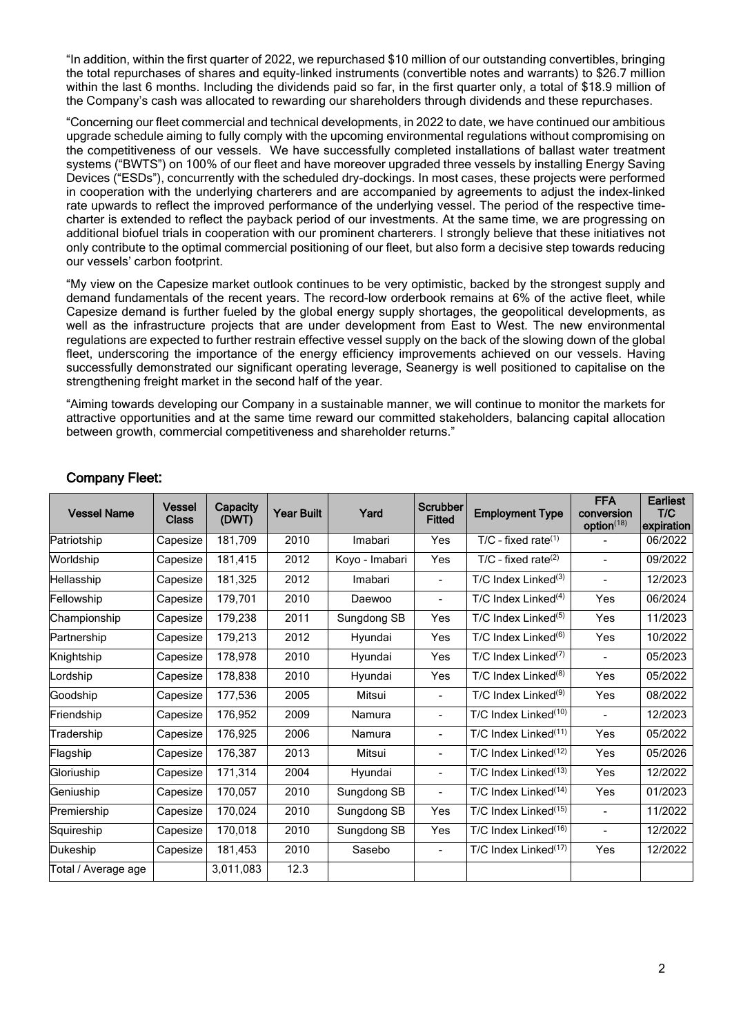"In addition, within the first quarter of 2022, we repurchased \$10 million of our outstanding convertibles, bringing the total repurchases of shares and equity-linked instruments (convertible notes and warrants) to \$26.7 million within the last 6 months. Including the dividends paid so far, in the first quarter only, a total of \$18.9 million of the Company's cash was allocated to rewarding our shareholders through dividends and these repurchases.

"Concerning our fleet commercial and technical developments, in 2022 to date, we have continued our ambitious upgrade schedule aiming to fully comply with the upcoming environmental regulations without compromising on the competitiveness of our vessels. We have successfully completed installations of ballast water treatment systems ("BWTS") on 100% of our fleet and have moreover upgraded three vessels by installing Energy Saving Devices ("ESDs"), concurrently with the scheduled dry-dockings. In most cases, these projects were performed in cooperation with the underlying charterers and are accompanied by agreements to adjust the index-linked rate upwards to reflect the improved performance of the underlying vessel. The period of the respective timecharter is extended to reflect the payback period of our investments. At the same time, we are progressing on additional biofuel trials in cooperation with our prominent charterers. I strongly believe that these initiatives not only contribute to the optimal commercial positioning of our fleet, but also form a decisive step towards reducing our vessels' carbon footprint.

"My view on the Capesize market outlook continues to be very optimistic, backed by the strongest supply and demand fundamentals of the recent years. The record-low orderbook remains at 6% of the active fleet, while Capesize demand is further fueled by the global energy supply shortages, the geopolitical developments, as well as the infrastructure projects that are under development from East to West. The new environmental regulations are expected to further restrain effective vessel supply on the back of the slowing down of the global fleet, underscoring the importance of the energy efficiency improvements achieved on our vessels. Having successfully demonstrated our significant operating leverage, Seanergy is well positioned to capitalise on the strengthening freight market in the second half of the year.

"Aiming towards developing our Company in a sustainable manner, we will continue to monitor the markets for attractive opportunities and at the same time reward our committed stakeholders, balancing capital allocation between growth, commercial competitiveness and shareholder returns."

| <b>Vessel Name</b>  | <b>Vessel</b><br><b>Class</b> | Capacity<br>(DWT) | <b>Year Built</b> | Yard           | Scrubber<br><b>Fitted</b> | <b>Employment Type</b>            | <b>FFA</b><br>conversion<br>option <sup>(18)</sup> | <b>Earliest</b><br>T/C<br>expiration |
|---------------------|-------------------------------|-------------------|-------------------|----------------|---------------------------|-----------------------------------|----------------------------------------------------|--------------------------------------|
| Patriotship         | Capesize                      | 181,709           | 2010              | Imabari        | Yes                       | $T/C$ - fixed rate <sup>(1)</sup> |                                                    | 06/2022                              |
| Worldship           | Capesize                      | 181,415           | 2012              | Koyo - Imabari | Yes                       | $T/C$ - fixed rate <sup>(2)</sup> | ÷                                                  | 09/2022                              |
| Hellasship          | Capesize                      | 181,325           | 2012              | Imabari        | $\blacksquare$            | $T/C$ Index Linked <sup>(3)</sup> | $\overline{\phantom{a}}$                           | 12/2023                              |
| Fellowship          | Capesize                      | 179,701           | 2010              | Daewoo         | $\blacksquare$            | $T/C$ Index Linked <sup>(4)</sup> | Yes                                                | 06/2024                              |
| Championship        | Capesize                      | 179,238           | 2011              | Sungdong SB    | Yes                       | $T/C$ Index Linked <sup>(5)</sup> | Yes                                                | 11/2023                              |
| Partnership         | Capesize                      | 179,213           | 2012              | Hyundai        | Yes                       | $T/C$ Index Linked <sup>(6)</sup> | Yes                                                | 10/2022                              |
| Knightship          | Capesize                      | 178,978           | 2010              | Hyundai        | Yes                       | $T/C$ Index Linked <sup>(7)</sup> |                                                    | 05/2023                              |
| Lordship            | Capesize                      | 178,838           | 2010              | Hyundai        | Yes                       | $T/C$ Index Linked <sup>(8)</sup> | Yes                                                | 05/2022                              |
| Goodship            | Capesize                      | 177,536           | 2005              | Mitsui         |                           | $T/C$ Index Linked $(9)$          | Yes                                                | 08/2022                              |
| Friendship          | Capesize                      | 176,952           | 2009              | Namura         | $\blacksquare$            | T/C Index Linked <sup>(10)</sup>  | $\blacksquare$                                     | 12/2023                              |
| Tradership          | Capesize                      | 176,925           | 2006              | Namura         | $\blacksquare$            | $T/C$ Index Linked $(11)$         | Yes                                                | 05/2022                              |
| Flagship            | Capesize                      | 176,387           | 2013              | Mitsui         | $\blacksquare$            | $T/C$ Index Linked $(12)$         | Yes                                                | 05/2026                              |
| Gloriuship          | Capesize                      | 171,314           | 2004              | Hyundai        | $\blacksquare$            | T/C Index Linked <sup>(13)</sup>  | Yes                                                | 12/2022                              |
| Geniuship           | Capesize                      | 170,057           | 2010              | Sungdong SB    | $\blacksquare$            | T/C Index Linked <sup>(14)</sup>  | Yes                                                | 01/2023                              |
| Premiership         | Capesize                      | 170,024           | 2010              | Sungdong SB    | Yes                       | $T/C$ Index Linked $(15)$         |                                                    | 11/2022                              |
| Squireship          | Capesize                      | 170,018           | 2010              | Sungdong SB    | Yes                       | T/C Index Linked $^{(16)}$        |                                                    | 12/2022                              |
| Dukeship            | Capesize                      | 181,453           | 2010              | Sasebo         | $\blacksquare$            | T/C Index Linked <sup>(17)</sup>  | Yes                                                | 12/2022                              |
| Total / Average age |                               | 3,011,083         | 12.3              |                |                           |                                   |                                                    |                                      |

## Company Fleet: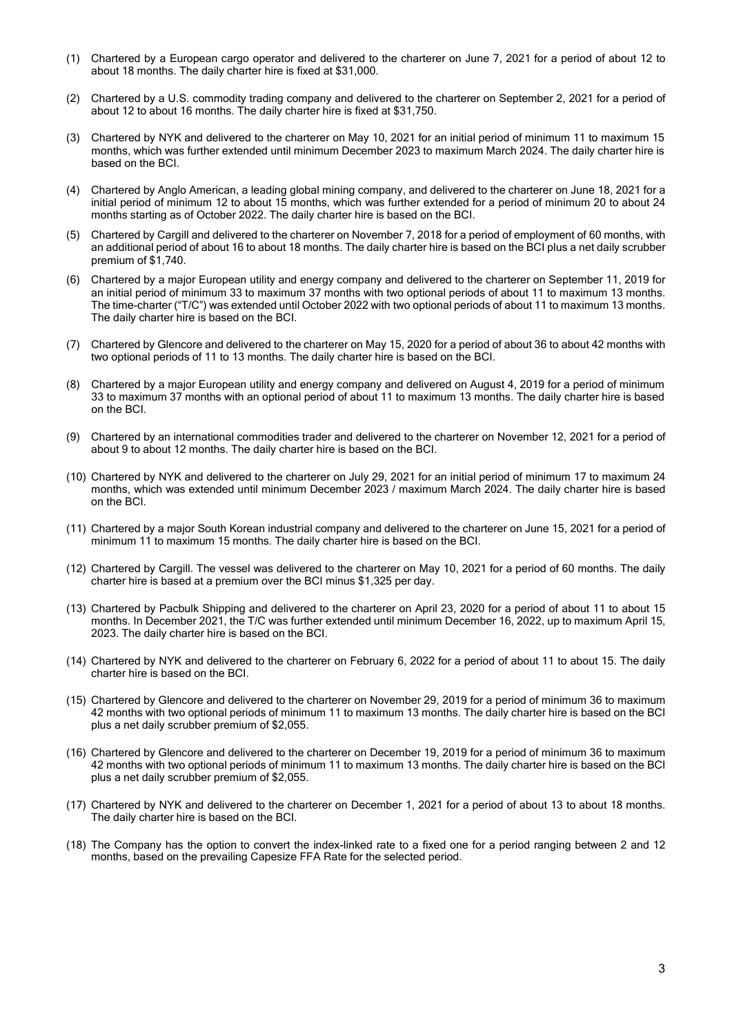- (1) Chartered by a European cargo operator and delivered to the charterer on June 7, 2021 for a period of about 12 to about 18 months. The daily charter hire is fixed at \$31,000.
- (2) Chartered by a U.S. commodity trading company and delivered to the charterer on September 2, 2021 for a period of about 12 to about 16 months. The daily charter hire is fixed at \$31,750.
- (3) Chartered by NYK and delivered to the charterer on May 10, 2021 for an initial period of minimum 11 to maximum 15 months, which was further extended until minimum December 2023 to maximum March 2024. The daily charter hire is based on the BCI.
- (4) Chartered by Anglo American, a leading global mining company, and delivered to the charterer on June 18, 2021 for a initial period of minimum 12 to about 15 months, which was further extended for a period of minimum 20 to about 24 months starting as of October 2022. The daily charter hire is based on the BCI.
- (5) Chartered by Cargill and delivered to the charterer on November 7, 2018 for a period of employment of 60 months, with an additional period of about 16 to about 18 months. The daily charter hire is based on the BCI plus a net daily scrubber premium of \$1,740.
- (6) Chartered by a major European utility and energy company and delivered to the charterer on September 11, 2019 for an initial period of minimum 33 to maximum 37 months with two optional periods of about 11 to maximum 13 months. The time-charter ("T/C") was extended until October 2022 with two optional periods of about 11 to maximum 13 months. The daily charter hire is based on the BCI.
- (7) Chartered by Glencore and delivered to the charterer on May 15, 2020 for a period of about 36 to about 42 months with two optional periods of 11 to 13 months. The daily charter hire is based on the BCI.
- (8) Chartered by a major European utility and energy company and delivered on August 4, 2019 for a period of minimum 33 to maximum 37 months with an optional period of about 11 to maximum 13 months. The daily charter hire is based on the BCI.
- (9) Chartered by an international commodities trader and delivered to the charterer on November 12, 2021 for a period of about 9 to about 12 months. The daily charter hire is based on the BCI.
- (10) Chartered by NYK and delivered to the charterer on July 29, 2021 for an initial period of minimum 17 to maximum 24 months, which was extended until minimum December 2023 / maximum March 2024. The daily charter hire is based on the BCI.
- (11) Chartered by a major South Korean industrial company and delivered to the charterer on June 15, 2021 for a period of minimum 11 to maximum 15 months. The daily charter hire is based on the BCI.
- (12) Chartered by Cargill. The vessel was delivered to the charterer on May 10, 2021 for a period of 60 months. The daily charter hire is based at a premium over the BCI minus \$1,325 per day.
- (13) Chartered by Pacbulk Shipping and delivered to the charterer on April 23, 2020 for a period of about 11 to about 15 months. In December 2021, the T/C was further extended until minimum December 16, 2022, up to maximum April 15, 2023. The daily charter hire is based on the BCI.
- (14) Chartered by NYK and delivered to the charterer on February 6, 2022 for a period of about 11 to about 15. The daily charter hire is based on the BCI.
- (15) Chartered by Glencore and delivered to the charterer on November 29, 2019 for a period of minimum 36 to maximum 42 months with two optional periods of minimum 11 to maximum 13 months. The daily charter hire is based on the BCI plus a net daily scrubber premium of \$2,055.
- (16) Chartered by Glencore and delivered to the charterer on December 19, 2019 for a period of minimum 36 to maximum 42 months with two optional periods of minimum 11 to maximum 13 months. The daily charter hire is based on the BCI plus a net daily scrubber premium of \$2,055.
- (17) Chartered by NYK and delivered to the charterer on December 1, 2021 for a period of about 13 to about 18 months. The daily charter hire is based on the BCI.
- (18) The Company has the option to convert the index-linked rate to a fixed one for a period ranging between 2 and 12 months, based on the prevailing Capesize FFA Rate for the selected period.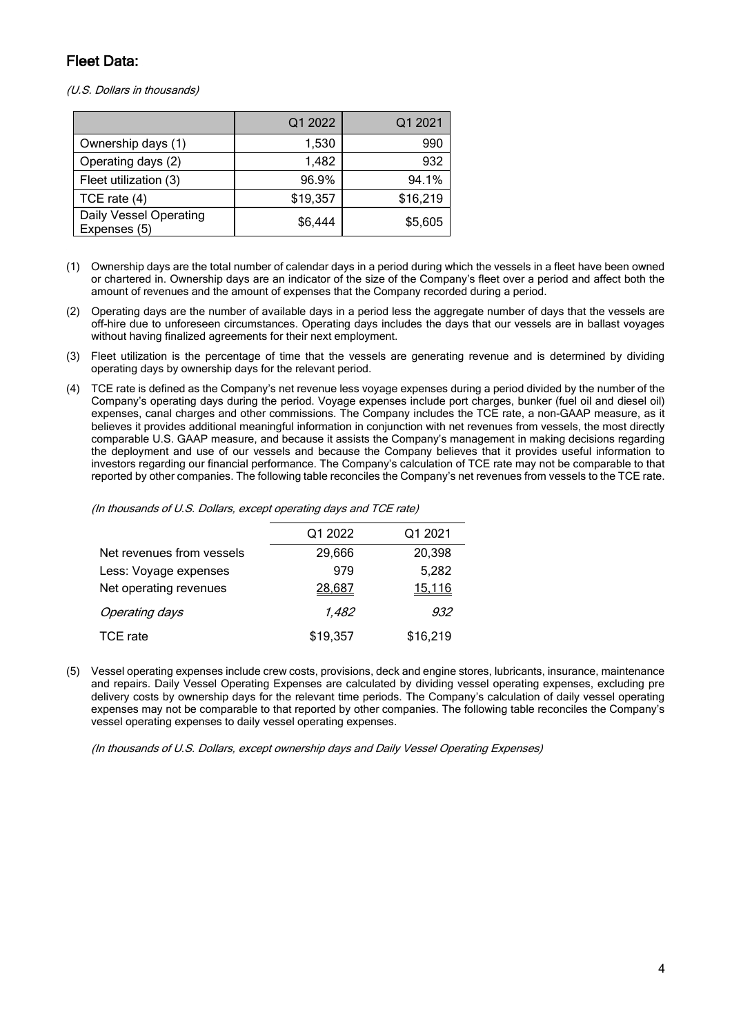# Fleet Data:

(U.S. Dollars in thousands)

|                                        | Q1 2022  | Q1 2021  |
|----------------------------------------|----------|----------|
| Ownership days (1)                     | 1,530    | 990      |
| Operating days (2)                     | 1,482    | 932      |
| Fleet utilization (3)                  | 96.9%    | 94.1%    |
| TCE rate $(4)$                         | \$19,357 | \$16,219 |
| Daily Vessel Operating<br>Expenses (5) | \$6,444  | \$5,605  |

- (1) Ownership days are the total number of calendar days in a period during which the vessels in a fleet have been owned or chartered in. Ownership days are an indicator of the size of the Company's fleet over a period and affect both the amount of revenues and the amount of expenses that the Company recorded during a period.
- (2) Operating days are the number of available days in a period less the aggregate number of days that the vessels are off-hire due to unforeseen circumstances. Operating days includes the days that our vessels are in ballast voyages without having finalized agreements for their next employment.
- (3) Fleet utilization is the percentage of time that the vessels are generating revenue and is determined by dividing operating days by ownership days for the relevant period.
- (4) TCE rate is defined as the Company's net revenue less voyage expenses during a period divided by the number of the Company's operating days during the period. Voyage expenses include port charges, bunker (fuel oil and diesel oil) expenses, canal charges and other commissions. The Company includes the TCE rate, a non-GAAP measure, as it believes it provides additional meaningful information in conjunction with net revenues from vessels, the most directly comparable U.S. GAAP measure, and because it assists the Company's management in making decisions regarding the deployment and use of our vessels and because the Company believes that it provides useful information to investors regarding our financial performance. The Company's calculation of TCE rate may not be comparable to that reported by other companies. The following table reconciles the Company's net revenues from vessels to the TCE rate.

(In thousands of U.S. Dollars, except operating days and TCE rate)

|                           | Q1 2022  | Q1 2021        |
|---------------------------|----------|----------------|
| Net revenues from vessels | 29,666   | 20,398         |
| Less: Voyage expenses     | 979      | 5,282          |
| Net operating revenues    | 28,687   | <u> 15.116</u> |
| <b>Operating days</b>     | 1,482    | 932            |
| TCE rate                  | \$19,357 | \$16,219       |

(5) Vessel operating expenses include crew costs, provisions, deck and engine stores, lubricants, insurance, maintenance and repairs. Daily Vessel Operating Expenses are calculated by dividing vessel operating expenses, excluding pre delivery costs by ownership days for the relevant time periods. The Company's calculation of daily vessel operating expenses may not be comparable to that reported by other companies. The following table reconciles the Company's vessel operating expenses to daily vessel operating expenses.

(In thousands of U.S. Dollars, except ownership days and Daily Vessel Operating Expenses)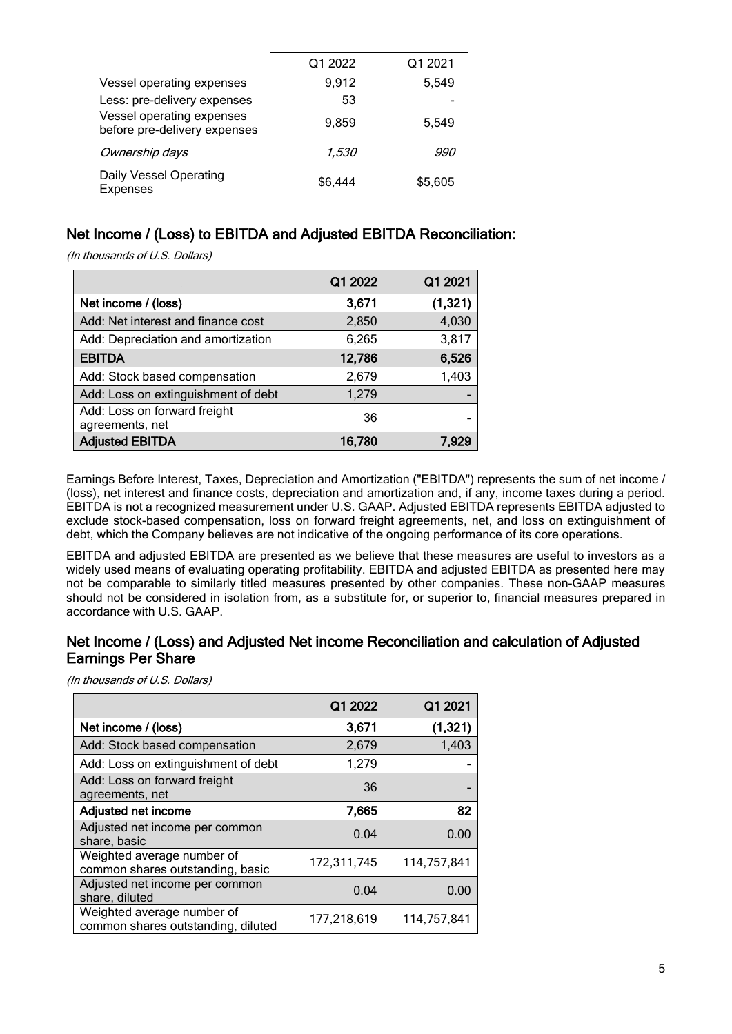|                                                           | Q1 2022 | Q1 2021 |
|-----------------------------------------------------------|---------|---------|
| Vessel operating expenses                                 | 9,912   | 5,549   |
| Less: pre-delivery expenses                               | 53      |         |
| Vessel operating expenses<br>before pre-delivery expenses | 9.859   | 5.549   |
| Ownership days                                            | 1.530   | 990.    |
| Daily Vessel Operating<br><b>Expenses</b>                 | \$6,444 | \$5,605 |

# Net Income / (Loss) to EBITDA and Adjusted EBITDA Reconciliation:

(In thousands of U.S. Dollars)

|                                                 | Q1 2022 | Q1 2021  |
|-------------------------------------------------|---------|----------|
| Net income / (loss)                             | 3,671   | (1, 321) |
| Add: Net interest and finance cost              | 2,850   | 4,030    |
| Add: Depreciation and amortization              | 6,265   | 3,817    |
| <b>EBITDA</b>                                   | 12,786  | 6,526    |
| Add: Stock based compensation                   | 2,679   | 1,403    |
| Add: Loss on extinguishment of debt             | 1,279   |          |
| Add: Loss on forward freight<br>agreements, net | 36      |          |
| <b>Adjusted EBITDA</b>                          | 16,780  | 7.929    |

Earnings Before Interest, Taxes, Depreciation and Amortization ("EBITDA") represents the sum of net income / (loss), net interest and finance costs, depreciation and amortization and, if any, income taxes during a period. EBITDA is not a recognized measurement under U.S. GAAP. Adjusted EBITDA represents EBITDA adjusted to exclude stock-based compensation, loss on forward freight agreements, net, and loss on extinguishment of debt, which the Company believes are not indicative of the ongoing performance of its core operations.

EBITDA and adjusted EBITDA are presented as we believe that these measures are useful to investors as a widely used means of evaluating operating profitability. EBITDA and adjusted EBITDA as presented here may not be comparable to similarly titled measures presented by other companies. These non-GAAP measures should not be considered in isolation from, as a substitute for, or superior to, financial measures prepared in accordance with U.S. GAAP.

## Net Income / (Loss) and Adjusted Net income Reconciliation and calculation of Adjusted Earnings Per Share

(In thousands of U.S. Dollars)

|                                                                  | Q1 2022     | Q1 2021     |
|------------------------------------------------------------------|-------------|-------------|
| Net income / (loss)                                              | 3,671       | (1, 321)    |
| Add: Stock based compensation                                    | 2,679       | 1,403       |
| Add: Loss on extinguishment of debt                              | 1,279       |             |
| Add: Loss on forward freight<br>agreements, net                  | 36          |             |
| <b>Adjusted net income</b>                                       | 7,665       | 82          |
| Adjusted net income per common<br>share, basic                   | 0.04        | 0.00        |
| Weighted average number of<br>common shares outstanding, basic   | 172,311,745 | 114,757,841 |
| Adjusted net income per common<br>share, diluted                 | 0.04        | 0.00        |
| Weighted average number of<br>common shares outstanding, diluted | 177,218,619 | 114,757,841 |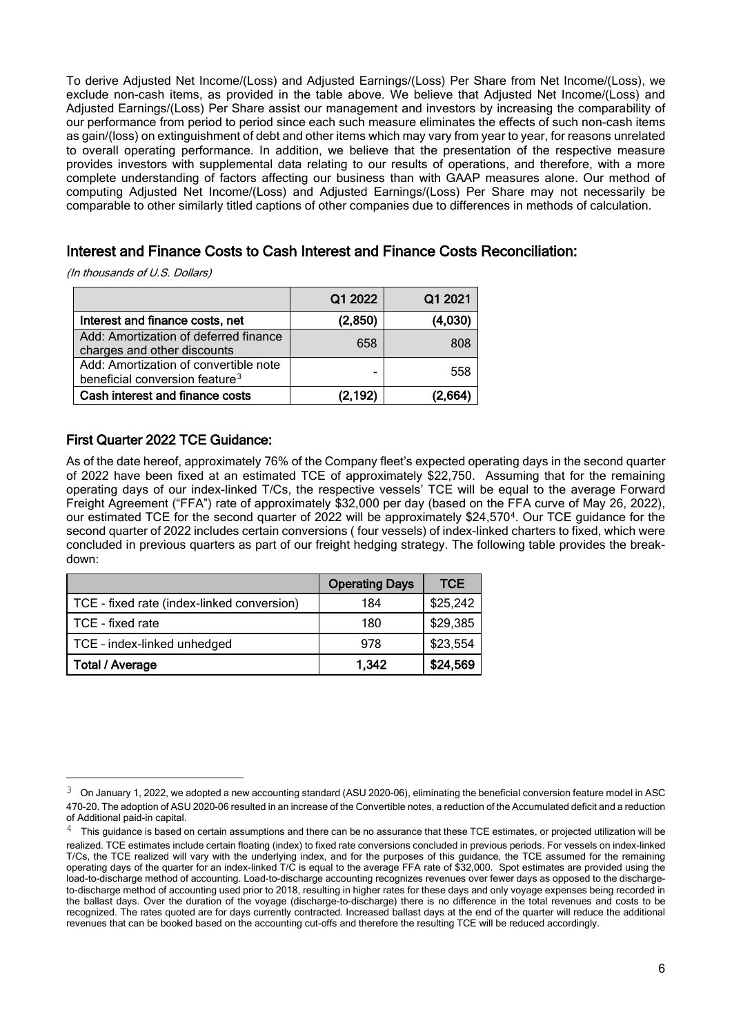To derive Adjusted Net Income/(Loss) and Adjusted Earnings/(Loss) Per Share from Net Income/(Loss), we exclude non-cash items, as provided in the table above. We believe that Adjusted Net Income/(Loss) and Adjusted Earnings/(Loss) Per Share assist our management and investors by increasing the comparability of our performance from period to period since each such measure eliminates the effects of such non-cash items as gain/(loss) on extinguishment of debt and other items which may vary from year to year, for reasons unrelated to overall operating performance. In addition, we believe that the presentation of the respective measure provides investors with supplemental data relating to our results of operations, and therefore, with a more complete understanding of factors affecting our business than with GAAP measures alone. Our method of computing Adjusted Net Income/(Loss) and Adjusted Earnings/(Loss) Per Share may not necessarily be comparable to other similarly titled captions of other companies due to differences in methods of calculation.

## Interest and Finance Costs to Cash Interest and Finance Costs Reconciliation:

(In thousands of U.S. Dollars)

|                                                                                     | Q1 2022  | Q1 2021 |
|-------------------------------------------------------------------------------------|----------|---------|
| Interest and finance costs, net                                                     | (2,850)  | (4,030) |
| Add: Amortization of deferred finance<br>charges and other discounts                | 658      | 808     |
| Add: Amortization of convertible note<br>beneficial conversion feature <sup>3</sup> | -        | 558     |
| Cash interest and finance costs                                                     | (2, 192) | '2 664) |

## First Quarter 2022 TCE Guidance:

As of the date hereof, approximately 76% of the Company fleet's expected operating days in the second quarter of 2022 have been fixed at an estimated TCE of approximately \$22,750. Assuming that for the remaining operating days of our index-linked T/Cs, the respective vessels' TCE will be equal to the average Forward Freight Agreement ("FFA") rate of approximately \$32,000 per day (based on the FFA curve of May 26, 2022), our estimated TCE for the second quarter of 2022 will be approximately \$24,570[4](#page-5-1). Our TCE guidance for the second quarter of 2022 includes certain conversions ( four vessels) of index-linked charters to fixed, which were concluded in previous quarters as part of our freight hedging strategy. The following table provides the breakdown:

|                                            | <b>Operating Days</b> | <b>TCE</b> |
|--------------------------------------------|-----------------------|------------|
| TCE - fixed rate (index-linked conversion) | 184                   | \$25,242   |
| TCE - fixed rate                           | 180                   | \$29,385   |
| TCE - index-linked unhedged                | 978                   | \$23,554   |
| <b>Total / Average</b>                     | 1,342                 | \$24,569   |

<span id="page-5-0"></span> $3$  On January 1, 2022, we adopted a new accounting standard (ASU 2020-06), eliminating the beneficial conversion feature model in ASC 470-20. The adoption of ASU 2020-06 resulted in an increase of the Convertible notes, a reduction of the Accumulated deficit and a reduction of Additional paid-in capital.

<span id="page-5-1"></span> $4$  This guidance is based on certain assumptions and there can be no assurance that these TCE estimates, or projected utilization will be realized. TCE estimates include certain floating (index) to fixed rate conversions concluded in previous periods. For vessels on index-linked T/Cs, the TCE realized will vary with the underlying index, and for the purposes of this guidance, the TCE assumed for the remaining operating days of the quarter for an index-linked T/C is equal to the average FFA rate of \$32,000. Spot estimates are provided using the load-to-discharge method of accounting. Load-to-discharge accounting recognizes revenues over fewer days as opposed to the dischargeto-discharge method of accounting used prior to 2018, resulting in higher rates for these days and only voyage expenses being recorded in the ballast days. Over the duration of the voyage (discharge-to-discharge) there is no difference in the total revenues and costs to be recognized. The rates quoted are for days currently contracted. Increased ballast days at the end of the quarter will reduce the additional revenues that can be booked based on the accounting cut-offs and therefore the resulting TCE will be reduced accordingly.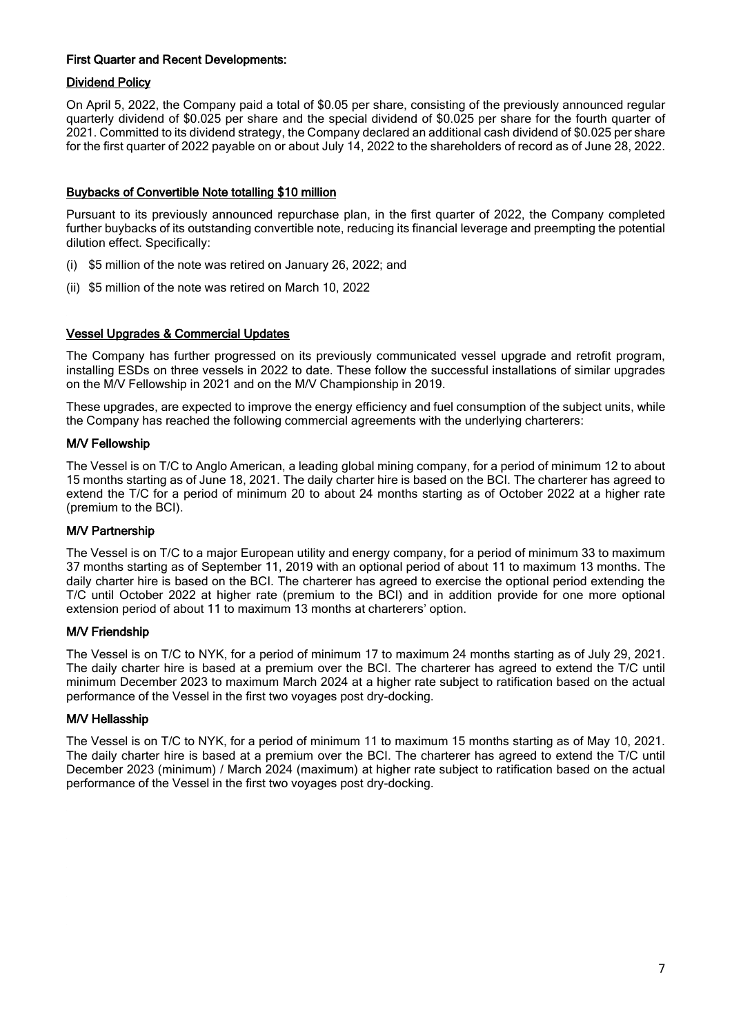#### First Quarter and Recent Developments:

#### Dividend Policy

On April 5, 2022, the Company paid a total of \$0.05 per share, consisting of the previously announced regular quarterly dividend of \$0.025 per share and the special dividend of \$0.025 per share for the fourth quarter of 2021. Committed to its dividend strategy, the Company declared an additional cash dividend of \$0.025 per share for the first quarter of 2022 payable on or about July 14, 2022 to the shareholders of record as of June 28, 2022.

#### Buybacks of Convertible Note totalling \$10 million

Pursuant to its previously announced repurchase plan, in the first quarter of 2022, the Company completed further buybacks of its outstanding convertible note, reducing its financial leverage and preempting the potential dilution effect. Specifically:

- (i) \$5 million of the note was retired on January 26, 2022; and
- (ii) \$5 million of the note was retired on March 10, 2022

#### Vessel Upgrades & Commercial Updates

The Company has further progressed on its previously communicated vessel upgrade and retrofit program, installing ESDs on three vessels in 2022 to date. These follow the successful installations of similar upgrades on the M/V Fellowship in 2021 and on the M/V Championship in 2019.

These upgrades, are expected to improve the energy efficiency and fuel consumption of the subject units, while the Company has reached the following commercial agreements with the underlying charterers:

#### M/V Fellowship

The Vessel is on T/C to Anglo American, a leading global mining company, for a period of minimum 12 to about 15 months starting as of June 18, 2021. The daily charter hire is based on the BCI. The charterer has agreed to extend the T/C for a period of minimum 20 to about 24 months starting as of October 2022 at a higher rate (premium to the BCI).

#### M/V Partnership

The Vessel is on T/C to a major European utility and energy company, for a period of minimum 33 to maximum 37 months starting as of September 11, 2019 with an optional period of about 11 to maximum 13 months. The daily charter hire is based on the BCI. The charterer has agreed to exercise the optional period extending the T/C until October 2022 at higher rate (premium to the BCI) and in addition provide for one more optional extension period of about 11 to maximum 13 months at charterers' option.

#### M/V Friendship

The Vessel is on T/C to NYK, for a period of minimum 17 to maximum 24 months starting as of July 29, 2021. The daily charter hire is based at a premium over the BCI. The charterer has agreed to extend the T/C until minimum December 2023 to maximum March 2024 at a higher rate subject to ratification based on the actual performance of the Vessel in the first two voyages post dry-docking.

#### M/V Hellasship

The Vessel is on T/C to NYK, for a period of minimum 11 to maximum 15 months starting as of May 10, 2021. The daily charter hire is based at a premium over the BCI. The charterer has agreed to extend the T/C until December 2023 (minimum) / March 2024 (maximum) at higher rate subject to ratification based on the actual performance of the Vessel in the first two voyages post dry-docking.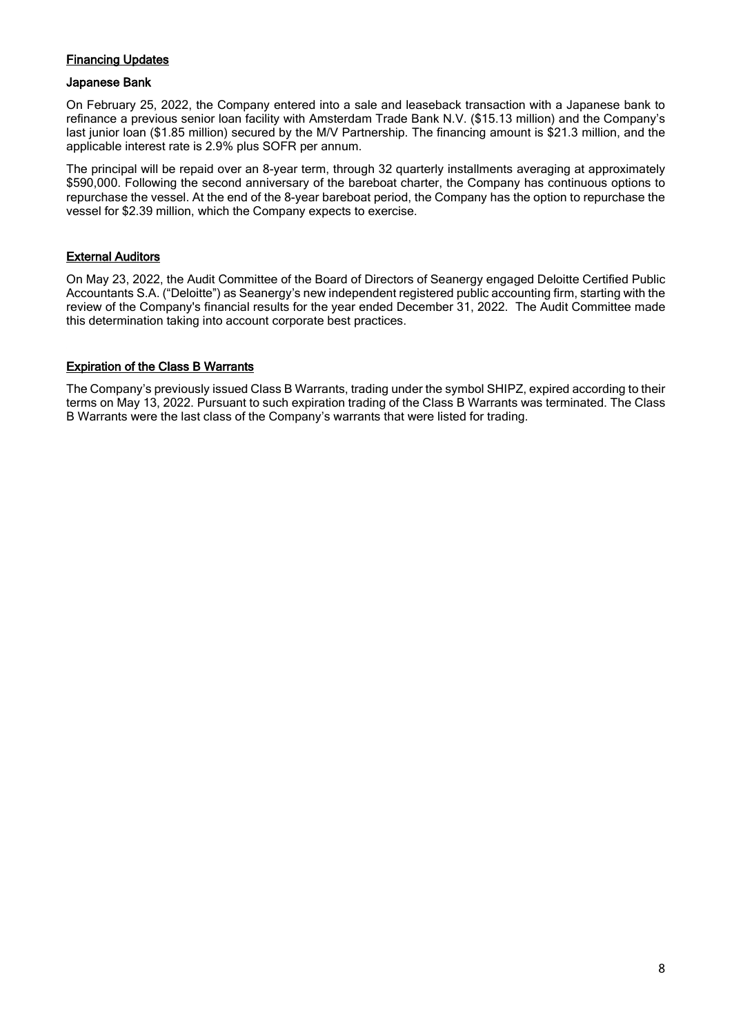## Financing Updates

#### Japanese Bank

On February 25, 2022, the Company entered into a sale and leaseback transaction with a Japanese bank to refinance a previous senior loan facility with Amsterdam Trade Bank N.V. (\$15.13 million) and the Company's last junior loan (\$1.85 million) secured by the M/V Partnership. The financing amount is \$21.3 million, and the applicable interest rate is 2.9% plus SOFR per annum.

The principal will be repaid over an 8-year term, through 32 quarterly installments averaging at approximately \$590,000. Following the second anniversary of the bareboat charter, the Company has continuous options to repurchase the vessel. At the end of the 8-year bareboat period, the Company has the option to repurchase the vessel for \$2.39 million, which the Company expects to exercise.

#### **External Auditors**

On May 23, 2022, the Audit Committee of the Board of Directors of Seanergy engaged Deloitte Certified Public Accountants S.A. ("Deloitte") as Seanergy's new independent registered public accounting firm, starting with the review of the Company's financial results for the year ended December 31, 2022. The Audit Committee made this determination taking into account corporate best practices.

#### Expiration of the Class B Warrants

The Company's previously issued Class B Warrants, trading under the symbol SHIPZ, expired according to their terms on May 13, 2022. Pursuant to such expiration trading of the Class B Warrants was terminated. The Class B Warrants were the last class of the Company's warrants that were listed for trading.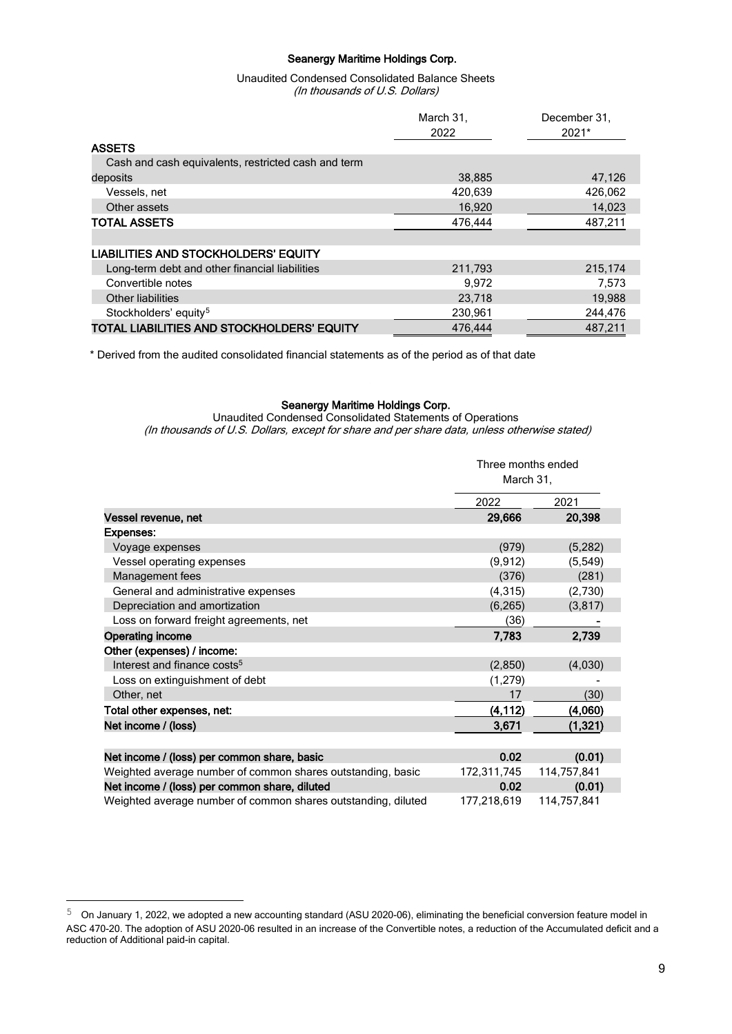#### Seanergy Maritime Holdings Corp.

#### Unaudited Condensed Consolidated Balance Sheets (In thousands of U.S. Dollars)

|                                                     | March 31, | December 31. |  |
|-----------------------------------------------------|-----------|--------------|--|
|                                                     | 2022      | 2021*        |  |
| <b>ASSETS</b>                                       |           |              |  |
| Cash and cash equivalents, restricted cash and term |           |              |  |
| deposits                                            | 38,885    | 47,126       |  |
| Vessels, net                                        | 420,639   | 426,062      |  |
| Other assets                                        | 16,920    | 14,023       |  |
| <b>TOTAL ASSETS</b>                                 | 476,444   | 487,211      |  |
|                                                     |           |              |  |
| <b>LIABILITIES AND STOCKHOLDERS' EQUITY</b>         |           |              |  |
| Long-term debt and other financial liabilities      | 211,793   | 215,174      |  |
| Convertible notes                                   | 9.972     | 7,573        |  |
| Other liabilities                                   | 23,718    | 19,988       |  |
| Stockholders' equity <sup>5</sup>                   | 230,961   | 244,476      |  |
| TOTAL LIABILITIES AND STOCKHOLDERS' EQUITY          | 476,444   | 487.211      |  |

\* Derived from the audited consolidated financial statements as of the period as of that date

#### Seanergy Maritime Holdings Corp.

Unaudited Condensed Consolidated Statements of Operations (In thousands of U.S. Dollars, except for share and per share data, unless otherwise stated)

|                                                               | Three months ended<br>March 31, |             |
|---------------------------------------------------------------|---------------------------------|-------------|
|                                                               | 2022                            | 2021        |
| Vessel revenue, net                                           | 29,666                          | 20,398      |
| <b>Expenses:</b>                                              |                                 |             |
| Voyage expenses                                               | (979)                           | (5,282)     |
| Vessel operating expenses                                     | (9, 912)                        | (5, 549)    |
| Management fees                                               | (376)                           | (281)       |
| General and administrative expenses                           | (4, 315)                        | (2,730)     |
| Depreciation and amortization                                 | (6, 265)                        | (3, 817)    |
| Loss on forward freight agreements, net                       | (36)                            |             |
| <b>Operating income</b>                                       | 7,783                           | 2,739       |
| Other (expenses) / income:                                    |                                 |             |
| Interest and finance costs <sup>5</sup>                       | (2,850)                         | (4,030)     |
| Loss on extinguishment of debt                                | (1,279)                         |             |
| Other, net                                                    | 17                              | (30)        |
| Total other expenses, net:                                    | (4, 112)                        | (4,060)     |
| Net income / (loss)                                           | 3,671                           | (1, 321)    |
|                                                               |                                 |             |
| Net income / (loss) per common share, basic                   | 0.02                            | (0.01)      |
| Weighted average number of common shares outstanding, basic   | 172,311,745                     | 114,757,841 |
| Net income / (loss) per common share, diluted                 | 0.02                            | (0.01)      |
| Weighted average number of common shares outstanding, diluted | 177,218,619                     | 114,757,841 |

<span id="page-8-0"></span> $5$  On January 1, 2022, we adopted a new accounting standard (ASU 2020-06), eliminating the beneficial conversion feature model in ASC 470-20. The adoption of ASU 2020-06 resulted in an increase of the Convertible notes, a reduction of the Accumulated deficit and a reduction of Additional paid-in capital.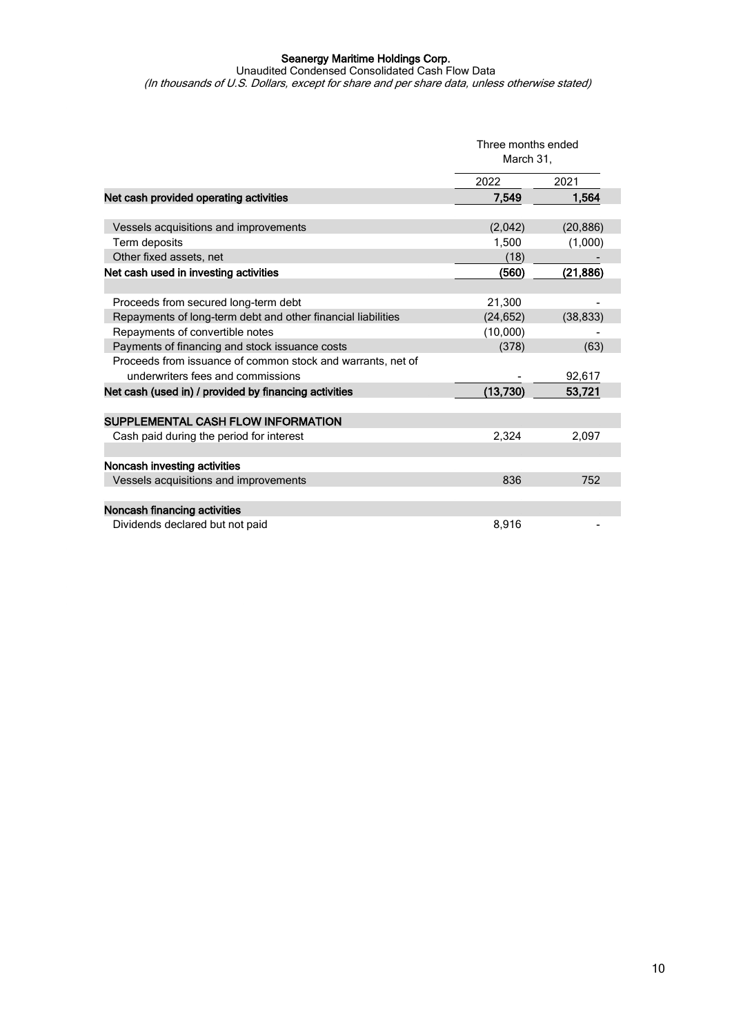#### Seanergy Maritime Holdings Corp.

Unaudited Condensed Consolidated Cash Flow Data (In thousands of U.S. Dollars, except for share and per share data, unless otherwise stated)

|                                                              | Three months ended<br>March 31, |           |
|--------------------------------------------------------------|---------------------------------|-----------|
|                                                              | 2022                            | 2021      |
| Net cash provided operating activities                       | 7.549                           | 1.564     |
|                                                              |                                 |           |
| Vessels acquisitions and improvements                        | (2,042)                         | (20, 886) |
| Term deposits                                                | 1,500                           | (1,000)   |
| Other fixed assets, net                                      | (18)                            |           |
| Net cash used in investing activities                        | (560)                           | (21, 886) |
|                                                              |                                 |           |
| Proceeds from secured long-term debt                         | 21,300                          |           |
| Repayments of long-term debt and other financial liabilities | (24, 652)                       | (38, 833) |
| Repayments of convertible notes                              | (10,000)                        |           |
| Payments of financing and stock issuance costs               | (378)                           | (63)      |
| Proceeds from issuance of common stock and warrants, net of  |                                 |           |
| underwriters fees and commissions                            |                                 | 92,617    |
| Net cash (used in) / provided by financing activities        | (13, 730)                       | 53,721    |
|                                                              |                                 |           |
| SUPPLEMENTAL CASH FLOW INFORMATION                           |                                 |           |
| Cash paid during the period for interest                     | 2,324                           | 2,097     |
|                                                              |                                 |           |
| Noncash investing activities                                 |                                 |           |
| Vessels acquisitions and improvements                        | 836                             | 752       |
|                                                              |                                 |           |
| Noncash financing activities                                 |                                 |           |
| Dividends declared but not paid                              | 8.916                           |           |